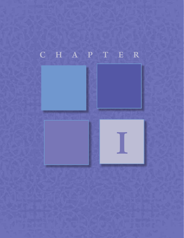## C H A P T E R

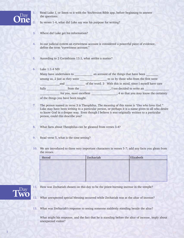

**1.** Read Luke 1, or listen to it with the YouVersion Bible app, before beginning to answer the questions.

**2.** In verses 1-4, what did Luke say was his purpose for writing?

- **3.** Where did Luke get his information?
- **4.** In our judicial system an eyewitness account is considered a powerful piece of evidence, define the term "eyewitness account."
- **5.** According to 2 Corinthians 13:1, what settles a matter?
- **6.** Luke 1:1-4 NIV

|  | Many have undertaken to<br>among us, 2 just as they were<br>and |          | an account of the things that have been |                                                            |
|--|-----------------------------------------------------------------|----------|-----------------------------------------|------------------------------------------------------------|
|  |                                                                 |          |                                         | to us by those who from the first were                     |
|  |                                                                 |          |                                         | of the word. 3 With this in mind, since I myself have care |
|  | fully                                                           | from the |                                         | , I too decided to write an                                |
|  | for you, most excellent                                         |          |                                         | 4 so that you may know the certainty                       |

of the things you have been taught.

- **7.** The person named in verse 3 is Theophilus. The meaning of this name is *"One who loves God."* Luke may have been writing to a particular person, or perhaps it is a name given to all who desire to know God in a deeper way. Even though I believe it was originally written to a particular person, could this describe you?
- **8.** What facts about Theophilus can be gleaned from verses 3-4?
- **9.** Read verse 5, what is the time setting?
- **10.** We are introduced to three very important characters in verses 5-7; add any facts you glean from the verses.

| Herod | Zechariah | Elizabeth |
|-------|-----------|-----------|
|       |           |           |
|       |           |           |
|       |           |           |
|       |           |           |



- **11.** How was Zechariah chosen on this day to be the priest burning incense in the temple?
- **12.** What unexpected special blessing occurred while Zechariah was at the altar of incense?
- **13.** What was Zechariah's response to seeing someone suddenly standing beside the altar?

What might his response, and the fact that he is standing before the altar of incense, imply about unexpected visitor?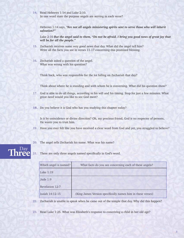**14.** Read Hebrews 1:14 and Luke 2:10. In one word state the purpose angels are serving in each verse?

Hebrews 1:14 says, *"Are not all angels ministering spirits sent to serve those who will inherit salvation?"*

Luke 2:10 *But the angel said to them, "Do not be afraid. I bring you good news of great joy that will be for all the people."*

- **15.** Zechariah receives some very good news that day. What did the angel tell him? Write all the facts you see in verses 11-17 concerning this promised blessing.
- **16.** Zechariah asked a question of the angel. What was wrong with his question?

Think back, who was responsible for the lot falling on Zechariah that day?

Think about where he is standing and with whom he is conversing. What did his question show?

- **17.** God is able to do all things, according to his will and his timing. Stop for just a few minutes. What great need would you like to see God meet?
- 18. Do you believe it is God who has you studying this chapter today?

Is it by coincidence or divine direction? Oh, my precious friend, God is no respecter of persons, He wants you to trust him.

- **19.** Have you ever felt like you have received a clear word from God and yet, you struggled to believe?
- **20.** The angel tells Zechariah his name. What was his name?

## Three

**21.** There are only three angels named specifically in God's word.

| Which angel is named? | What facts do you see concerning each of these angels?      |
|-----------------------|-------------------------------------------------------------|
| Luke $1:19$           |                                                             |
| Jude $1:9$            |                                                             |
| Revelation 12:7       |                                                             |
| Isaiah 14:12-15       | (King James Version specifically names him in these verses) |

**22.** Zechariah is unable to speak when he came out of the temple that day. Why did this happen?

**23.** Read Luke 1:25. What was Elizabeth's response to conceiving a child in her old age?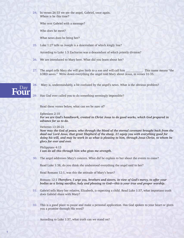**24.** In verses 26-33 we see the angel, Gabriel, once again. Where is he this time?

Who sent Gabriel with a message?

Who does he meet?

What news does he bring her?

**25.** Luke 1:27 tells us Joseph is a descendant of which kingly line?

According to Luke 1:5 Zacharias was a descendant of which priestly division?

- **26.** We are introduced to Mary here. What did you learn about her?
- **27.** The angel tells Mary she will give birth to a son and will call him \_\_\_\_\_\_\_\_\_\_\_. This name means "the LORD saves." Write down everything the angel told Mary about Jesus, in verses 31-35.



**28.** Mary is, understandably, a bit confused by the angel's news. What is the obvious problem?

**29.** Has God ever called you to do something seemingly impossible?

Read these verses below, what can we be sure of?

## Ephesians 2:10

*For we are God's handiwork, created in Christ Jesus to do good works, which God prepared in advance for us to do.*

## Hebrews 13:20-21

*Now may the God of peace, who through the blood of the eternal covenant brought back from the dead our Lord Jesus, that great Shepherd of the sheep, 21 equip you with everything good for doing his will, and may he work in us what is pleasing to him, through Jesus Christ, to whom be glory for ever and ever.*

Philippians 4:13 *I can do all this through him who gives me strength.*

**30.** The angel addresses Mary's concern. What did he explain to her about the events to come?

Read Luke 1:38, do you think she understood everything the angel said to her?

Read Romans 12:1, was this the attitude of Mary's heart?

Romans 12:1 *Therefore, I urge you, brothers and sisters, in view of God's mercy, to offer your bodies as a living sacrifice, holy and pleasing to God—this is your true and proper worship.*

- **31.** Gabriel tells Mary her relative, Elizabeth, is expecting a child. Read Luke 1:37, what important truth does Gabriel share with Mary?
- **32.** This is a good place to pause and make a personal application. Has God spoken to your heart or given you a promise through His word?

According to Luke 1:37, what truth can we stand on?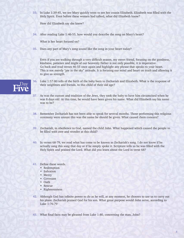**33.** In Luke 1:39-45, we see Mary quickly went to see her cousin Elizabeth. Elizabeth was filled with the Holy Spirit. Even before these women had talked, what did Elizabeth know?

How did Elizabeth say she knew?

**34.** After reading Luke 1:46-55, how would you describe the song on Mary's heart?

What is her heart focused on?

**35.** Does any part of Mary's song sound like the song in your heart today?

 Even if you are walking through a very difficult season, my sweet friend, focusing on the goodness, kindness, patience and might of our heavenly Father is not only possible, it is imperative. Go back and read verses 46-55 once again and highlight any phrase that speaks to your heart. This is not merely "pie in the sky" attitude. It is focusing our mind and heart on truth and allowing it to give us strength.

- **36.** Luke 1:57-80 tells of the birth of the baby born to Zechariah and Elizabeth. What is the response of their neighbors and friends, to this child of their old age?
- **37.** As was the custom and tradition of the Jews, they took the baby to have him circumcised when he was 8 days old. At this time, he would have been given his name. What did Elizabeth say his name was to be?
- **38.** Remember Zechariah has not been able to speak for several months. Those performing this religious ceremony were unsure this was the name he should be given. What caused them concern?
- **39.** Zechariah, in obedience to God, named the child John. What happened which caused the people to be filled with awe and wonder at this child?
- **40.** In verses 68-79, we read what has come to be known as Zechariah's song. I do not know if he actually sang this song that day or if he simply spoke it. Scripture tells us he was filled with the Holy Spirit and praised the Lord. What did you learn about the Lord in verse 68?
- **41.** Define these words.
	- Redemption
	- Salvation
	- Mercy

Five

- Covenant
- Oath
- Rescue
- Righteousness
- **42.** Although God has infinite power to do as he will, at any moment, he chooses to use us to carry out his plans. Zechariah praised God for his son. What great purpose would John serve, according to Luke 1:76-79
- **43.** What final facts may be gleaned from Luke 1:80, concerning the man, John?

5